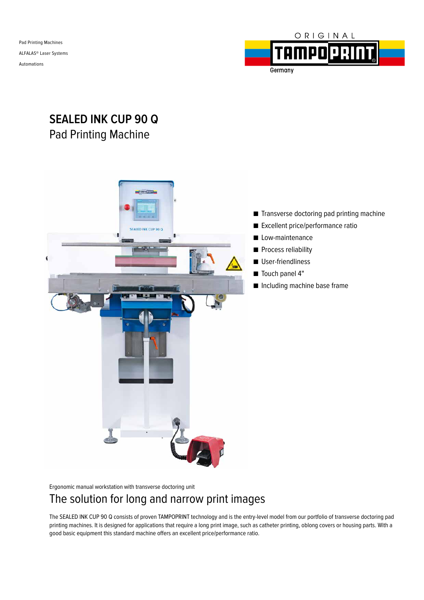Pad Printing Machines ALFALAS® Laser Systems Automations



# **SEALED INK CUP 90 Q** Pad Printing Machine



Ergonomic manual workstation with transverse doctoring unit

## The solution for long and narrow print images

The SEALED INK CUP 90 Q consists of proven TAMPOPRINT technology and is the entry-level model from our portfolio of transverse doctoring pad printing machines. It is designed for applications that require a long print image, such as catheter printing, oblong covers or housing parts. With a good basic equipment this standard machine offers an excellent price/performance ratio.